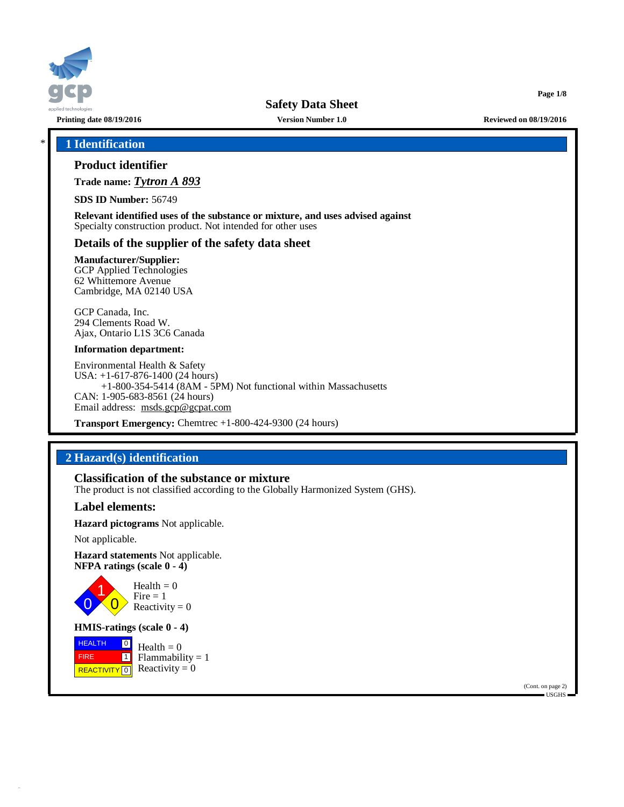

**Printing date 08/19/2016 Version Number 1.0 Reviewed on 08/19/2016**

**Page 1/8**

# \* **1 Identification**

# **Product identifier**

**Trade name:** *Tytron A 893*

**SDS ID Number:** 56749

**Relevant identified uses of the substance or mixture, and uses advised against** Specialty construction product. Not intended for other uses

## **Details of the supplier of the safety data sheet**

**Manufacturer/Supplier:** GCP Applied Technologies

62 Whittemore Avenue Cambridge, MA 02140 USA

GCP Canada, Inc. 294 Clements Road W. Ajax, Ontario L1S 3C6 Canada

### **Information department:**

Environmental Health & Safety USA: +1-617-876-1400 (24 hours) +1-800-354-5414 (8AM - 5PM) Not functional within Massachusetts CAN: 1-905-683-8561 (24 hours) Email address: [msds.gcp@gcpat.com](mailto:msds.gcp@gcpat.com)

**Transport Emergency:** Chemtrec +1-800-424-9300 (24 hours)

# **2 Hazard(s) identification**

## **Classification of the substance or mixture**

The product is not classified according to the Globally Harmonized System (GHS).

## **Label elements:**

**Hazard pictograms** Not applicable.

Not applicable.

**Hazard statements** Not applicable. **NFPA ratings (scale 0 - 4)**



**HMIS-ratings (scale 0 - 4)**

**HEALTH**  FIRE REACTIVITY  $\boxed{0}$  Reactivity = 0  $\boxed{0}$  $\boxed{1}$ Health  $= 0$  $Flammability = 1$ 

> (Cont. on page 2) USGHS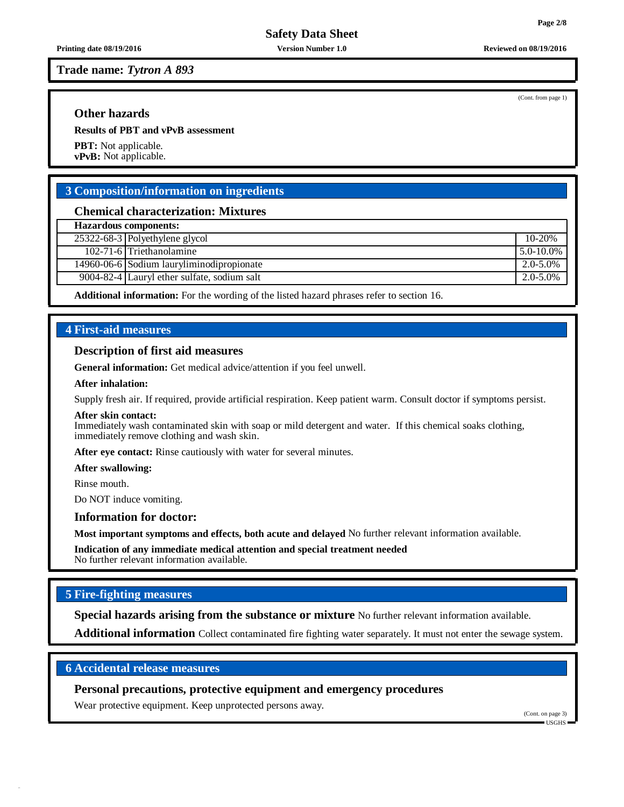**Printing date 08/19/2016 Version Number 1.0 Reviewed on 08/19/2016**

**Trade name:** *Tytron A 893*

# **Other hazards**

**Results of PBT and vPvB assessment**

**PBT:** Not applicable. **vPvB:** Not applicable.

# **3 Composition/information on ingredients**

## **Chemical characterization: Mixtures**

**Hazardous components:** 25322-68-3 Polyethylene glycol 10-20%

| $102 - 7$ | $\overline{ }$<br>ethanolamıne<br>$\cdot$ rether<br>. | $\gamma\%$<br>. . |
|-----------|-------------------------------------------------------|-------------------|

14960-06-6 Sodium lauryliminodipropionate 2.0-5.0%

9004-82-4 Lauryl ether sulfate, sodium salt 2.0-5.0%

**Additional information:** For the wording of the listed hazard phrases refer to section 16.

# **4 First-aid measures**

## **Description of first aid measures**

**General information:** Get medical advice/attention if you feel unwell.

## **After inhalation:**

Supply fresh air. If required, provide artificial respiration. Keep patient warm. Consult doctor if symptoms persist.

## **After skin contact:**

Immediately wash contaminated skin with soap or mild detergent and water. If this chemical soaks clothing, immediately remove clothing and wash skin.

**After eye contact:** Rinse cautiously with water for several minutes.

#### **After swallowing:**

Rinse mouth.

Do NOT induce vomiting.

## **Information for doctor:**

**Most important symptoms and effects, both acute and delayed** No further relevant information available.

**Indication of any immediate medical attention and special treatment needed** No further relevant information available.

# **5 Fire-fighting measures**

**Special hazards arising from the substance or mixture** No further relevant information available.

**Additional information** Collect contaminated fire fighting water separately. It must not enter the sewage system.

# **6 Accidental release measures**

**Personal precautions, protective equipment and emergency procedures**

Wear protective equipment. Keep unprotected persons away.

(Cont. on page 3) USGHS

(Cont. from page 1)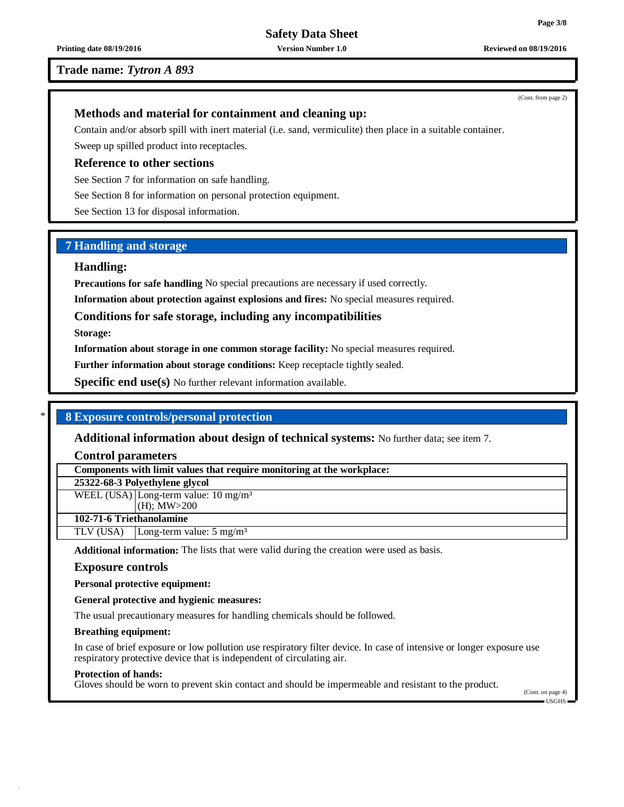## **Trade name:** *Tytron A 893*

## **Methods and material for containment and cleaning up:**

Contain and/or absorb spill with inert material (i.e. sand, vermiculite) then place in a suitable container. Sweep up spilled product into receptacles.

**Reference to other sections**

See Section 7 for information on safe handling.

See Section 8 for information on personal protection equipment.

See Section 13 for disposal information.

# **7 Handling and storage**

## **Handling:**

**Precautions for safe handling** No special precautions are necessary if used correctly.

**Information about protection against explosions and fires:** No special measures required.

## **Conditions for safe storage, including any incompatibilities**

**Storage:**

**Information about storage in one common storage facility:** No special measures required.

**Further information about storage conditions:** Keep receptacle tightly sealed.

**Specific end use(s)** No further relevant information available.

## \* **8 Exposure controls/personal protection**

**Additional information about design of technical systems:** No further data; see item 7.

**Control parameters**

**Components with limit values that require monitoring at the workplace:**

# **25322-68-3 Polyethylene glycol**

WEEL (USA) Long-term value:  $10 \text{ mg/m}^3$ 

(H); MW>200 **102-71-6 Triethanolamine**

TLV (USA) Long-term value: 5 mg/m<sup>3</sup>

**Additional information:** The lists that were valid during the creation were used as basis.

## **Exposure controls**

**Personal protective equipment:**

**General protective and hygienic measures:**

The usual precautionary measures for handling chemicals should be followed.

## **Breathing equipment:**

In case of brief exposure or low pollution use respiratory filter device. In case of intensive or longer exposure use respiratory protective device that is independent of circulating air.

## **Protection of hands:**

Gloves should be worn to prevent skin contact and should be impermeable and resistant to the product.

(Cont. on page 4) USGHS

(Cont. from page 2)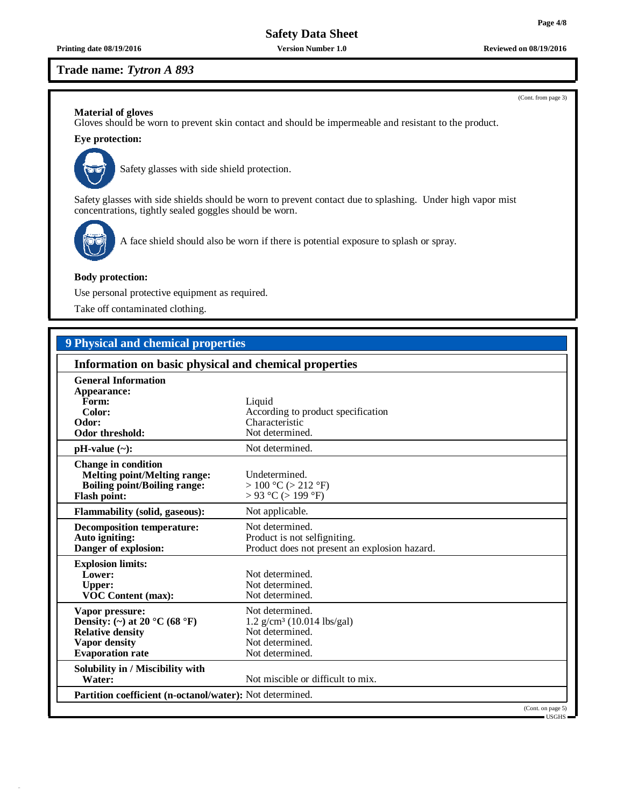**Printing date 08/19/2016 Version Number 1.0 Reviewed on 08/19/2016**

# **Trade name:** *Tytron A 893*

## **Material of gloves**

Gloves should be worn to prevent skin contact and should be impermeable and resistant to the product.

# **Eye protection:**



Safety glasses with side shield protection.

Safety glasses with side shields should be worn to prevent contact due to splashing. Under high vapor mist concentrations, tightly sealed goggles should be worn.



A face shield should also be worn if there is potential exposure to splash or spray.

## **Body protection:**

Use personal protective equipment as required.

Take off contaminated clothing.

# **9 Physical and chemical properties**

| Information on basic physical and chemical properties                                                                           |                                                                                                                      |  |  |  |
|---------------------------------------------------------------------------------------------------------------------------------|----------------------------------------------------------------------------------------------------------------------|--|--|--|
| <b>General Information</b><br>Appearance:<br>Form:<br>Color:<br>Odor:<br>Odor threshold:                                        | Liquid<br>According to product specification<br>Characteristic<br>Not determined.                                    |  |  |  |
| $pH-value$ (~):                                                                                                                 | Not determined.                                                                                                      |  |  |  |
| <b>Change in condition</b><br><b>Melting point/Melting range:</b><br><b>Boiling point/Boiling range:</b><br><b>Flash point:</b> | Undetermined.<br>> 100 °C (> 212 °F)<br>$> 93$ °C ( $> 199$ °F)                                                      |  |  |  |
| <b>Flammability (solid, gaseous):</b>                                                                                           | Not applicable.                                                                                                      |  |  |  |
| <b>Decomposition temperature:</b><br>Auto igniting:<br>Danger of explosion:                                                     | Not determined.<br>Product is not selfigniting.<br>Product does not present an explosion hazard.                     |  |  |  |
| <b>Explosion limits:</b><br>Lower:<br><b>Upper:</b><br><b>VOC Content (max):</b>                                                | Not determined.<br>Not determined.<br>Not determined.                                                                |  |  |  |
| Vapor pressure:<br>Density: (~) at 20 °C (68 °F)<br><b>Relative density</b><br><b>Vapor density</b><br><b>Evaporation</b> rate  | Not determined.<br>$1.2$ g/cm <sup>3</sup> (10.014 lbs/gal)<br>Not determined.<br>Not determined.<br>Not determined. |  |  |  |
| Solubility in / Miscibility with<br>Water:                                                                                      | Not miscible or difficult to mix.                                                                                    |  |  |  |
| Partition coefficient (n-octanol/water): Not determined.                                                                        |                                                                                                                      |  |  |  |
|                                                                                                                                 | (Cont. on page 5)                                                                                                    |  |  |  |
|                                                                                                                                 | $-$ USGHS $-$                                                                                                        |  |  |  |

(Cont. from page 3)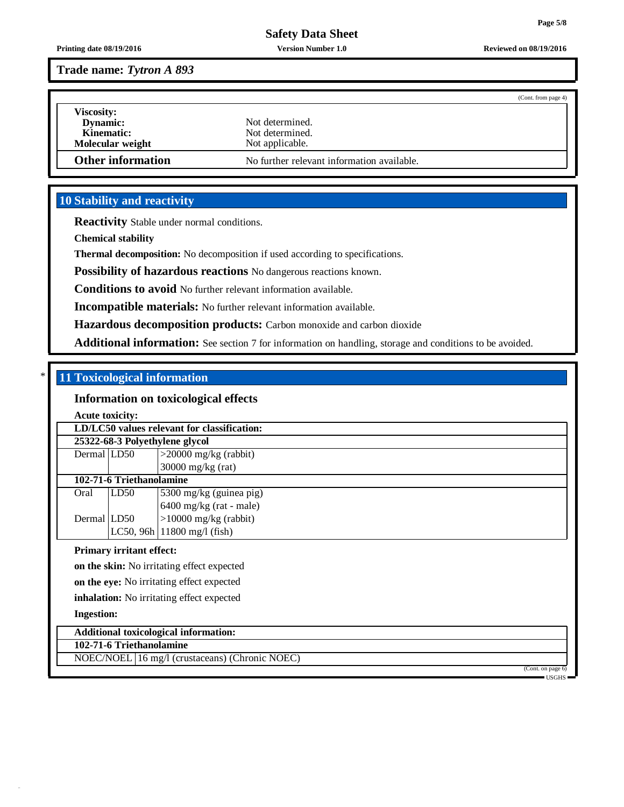**Printing date 08/19/2016 Version Number 1.0 Reviewed on 08/19/2016**

**Trade name:** *Tytron A 893*

|                          |                                            | (Cont. from page 4) |
|--------------------------|--------------------------------------------|---------------------|
| <b>Viscosity:</b>        |                                            |                     |
| <b>Dynamic:</b>          | Not determined.                            |                     |
| Kinematic:               | Not determined.                            |                     |
| Molecular weight         | Not applicable.                            |                     |
| <b>Other information</b> | No further relevant information available. |                     |

# **10 Stability and reactivity**

**Reactivity** Stable under normal conditions.

**Chemical stability**

**Thermal decomposition:** No decomposition if used according to specifications.

**Possibility of hazardous reactions** No dangerous reactions known.

**Conditions to avoid** No further relevant information available.

**Incompatible materials:** No further relevant information available.

**Hazardous decomposition products:** Carbon monoxide and carbon dioxide

**Additional information:** See section 7 for information on handling, storage and conditions to be avoided.

# \* **11 Toxicological information**

# **Information on toxicological effects**

**Acute toxicity:**

| LD/LC50 values relevant for classification:      |                                                |                                        |  |  |  |  |  |
|--------------------------------------------------|------------------------------------------------|----------------------------------------|--|--|--|--|--|
| 25322-68-3 Polyethylene glycol                   |                                                |                                        |  |  |  |  |  |
| Dermal LD50                                      |                                                | $>$ 20000 mg/kg (rabbit)               |  |  |  |  |  |
|                                                  |                                                | $30000$ mg/kg (rat)                    |  |  |  |  |  |
|                                                  | 102-71-6 Triethanolamine                       |                                        |  |  |  |  |  |
| Oral                                             | LD50                                           | 5300 mg/kg (guinea pig)                |  |  |  |  |  |
|                                                  |                                                | $6400$ mg/kg (rat - male)              |  |  |  |  |  |
| Dermal LD50                                      |                                                | $>10000$ mg/kg (rabbit)                |  |  |  |  |  |
|                                                  |                                                | LC50, 96h $ 11800 \text{ mg/l}$ (fish) |  |  |  |  |  |
|                                                  | <b>Primary irritant effect:</b>                |                                        |  |  |  |  |  |
| on the skin: No irritating effect expected       |                                                |                                        |  |  |  |  |  |
| on the eye: No irritating effect expected        |                                                |                                        |  |  |  |  |  |
| <b>inhalation:</b> No irritating effect expected |                                                |                                        |  |  |  |  |  |
|                                                  | <b>Ingestion:</b>                              |                                        |  |  |  |  |  |
| <b>Additional toxicological information:</b>     |                                                |                                        |  |  |  |  |  |
| 102-71-6 Triethanolamine                         |                                                |                                        |  |  |  |  |  |
|                                                  | NOEC/NOEL 16 mg/l (crustaceans) (Chronic NOEC) |                                        |  |  |  |  |  |
|                                                  |                                                | (Cont. on page 6)                      |  |  |  |  |  |
|                                                  |                                                | = USGHS =                              |  |  |  |  |  |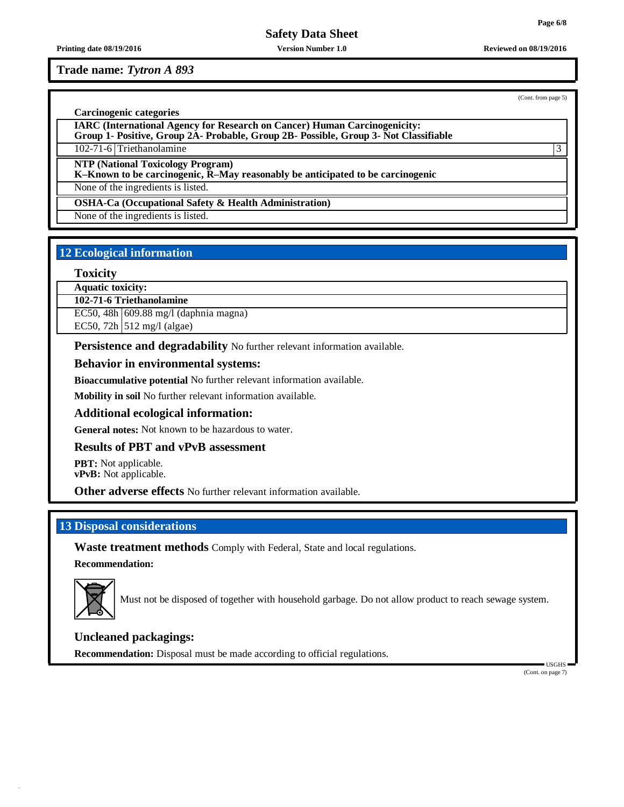**Printing date 08/19/2016 Version Number 1.0 Reviewed on 08/19/2016**

# **Trade name:** *Tytron A 893*

(Cont. from page 5)

## **Carcinogenic categories**

**IARC (International Agency for Research on Cancer) Human Carcinogenicity:**

**Group 1- Positive, Group 2A- Probable, Group 2B- Possible, Group 3- Not Classifiable**

102-71-6 Triethanolamine 3

**NTP (National Toxicology Program)**

**K–Known to be carcinogenic, R–May reasonably be anticipated to be carcinogenic**

None of the ingredients is listed.

**OSHA-Ca (Occupational Safety & Health Administration)**

None of the ingredients is listed.

# **12 Ecological information**

## **Toxicity**

**Aquatic toxicity:**

**102-71-6 Triethanolamine**

EC50, 48h 609.88 mg/l (daphnia magna)

EC50, 72h  $\vert$  512 mg/l (algae)

**Persistence and degradability** No further relevant information available.

## **Behavior in environmental systems:**

**Bioaccumulative potential** No further relevant information available.

**Mobility in soil** No further relevant information available.

## **Additional ecological information:**

**General notes:** Not known to be hazardous to water.

## **Results of PBT and vPvB assessment**

**PBT:** Not applicable. **vPvB:** Not applicable.

**Other adverse effects** No further relevant information available.

# **13 Disposal considerations**

**Waste treatment methods** Comply with Federal, State and local regulations.

**Recommendation:**



Must not be disposed of together with household garbage. Do not allow product to reach sewage system.

# **Uncleaned packagings:**

**Recommendation:** Disposal must be made according to official regulations.

USGHS (Cont. on page 7)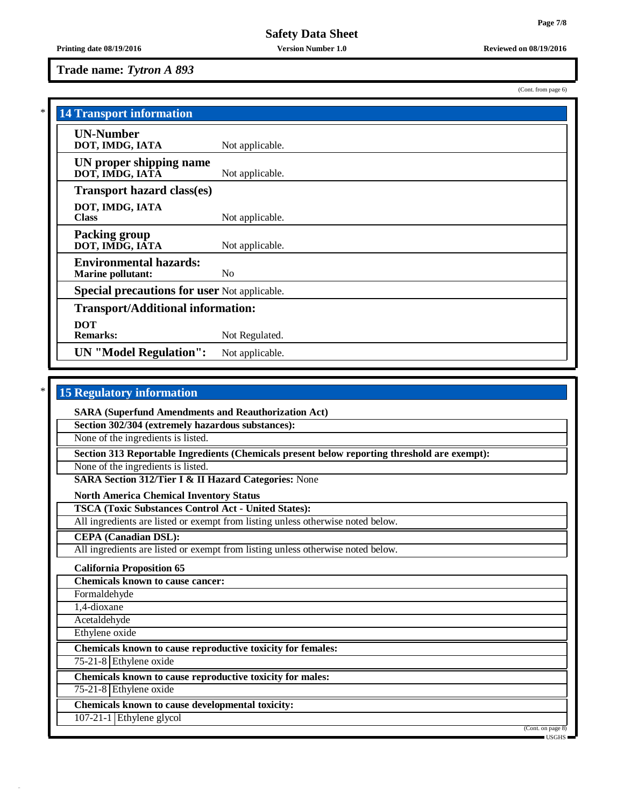# **Trade name:** *Tytron A 893*

(Cont. from page 6)

| <b>14 Transport information</b>                           |                 |  |  |  |
|-----------------------------------------------------------|-----------------|--|--|--|
| <b>UN-Number</b><br>DOT, IMDG, IATA                       | Not applicable. |  |  |  |
| UN proper shipping name<br>DOT, IMDG, IATĀ                | Not applicable. |  |  |  |
| <b>Transport hazard class(es)</b>                         |                 |  |  |  |
| DOT, IMDG, IATA<br><b>Class</b>                           | Not applicable. |  |  |  |
| <b>Packing group</b><br>DOT, IMDG, IATA                   | Not applicable. |  |  |  |
| <b>Environmental hazards:</b><br><b>Marine pollutant:</b> | No.             |  |  |  |
| <b>Special precautions for user Not applicable.</b>       |                 |  |  |  |
| <b>Transport/Additional information:</b>                  |                 |  |  |  |
| <b>DOT</b><br><b>Remarks:</b>                             | Not Regulated.  |  |  |  |
| <b>UN</b> "Model Regulation":                             | Not applicable. |  |  |  |

# \* **15 Regulatory information**

**SARA (Superfund Amendments and Reauthorization Act)**

**Section 302/304 (extremely hazardous substances):**

None of the ingredients is listed.

**Section 313 Reportable Ingredients (Chemicals present below reporting threshold are exempt):**

None of the ingredients is listed.

**SARA Section 312/Tier I & II Hazard Categories:** None

**North America Chemical Inventory Status**

**TSCA (Toxic Substances Control Act - United States):**

All ingredients are listed or exempt from listing unless otherwise noted below.

**CEPA (Canadian DSL):**

All ingredients are listed or exempt from listing unless otherwise noted below.

## **California Proposition 65**

**Chemicals known to cause cancer:** Formaldehyde 1,4-dioxane Acetaldehyde Ethylene oxide **Chemicals known to cause reproductive toxicity for females:** 75-21-8 Ethylene oxide **Chemicals known to cause reproductive toxicity for males:** 75-21-8 Ethylene oxide **Chemicals known to cause developmental toxicity:** 107-21-1 Ethylene glycol (Cont. on page 8)